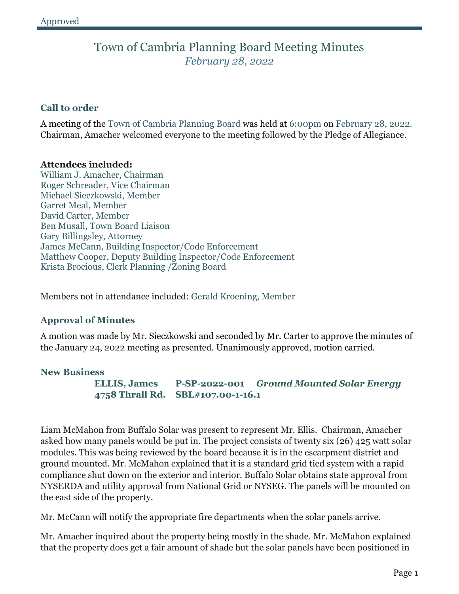# **Call to order**

A meeting of the Town of Cambria Planning Board was held at 6:00pm on February 28, 2022. Chairman, Amacher welcomed everyone to the meeting followed by the Pledge of Allegiance.

## **Attendees included:**

William J. Amacher, Chairman Roger Schreader, Vice Chairman Michael Sieczkowski, Member Garret Meal, Member David Carter, Member Ben Musall, Town Board Liaison Gary Billingsley, Attorney James McCann, Building Inspector/Code Enforcement Matthew Cooper, Deputy Building Inspector/Code Enforcement Krista Brocious, Clerk Planning /Zoning Board

Members not in attendance included: Gerald Kroening, Member

## **Approval of Minutes**

A motion was made by Mr. Sieczkowski and seconded by Mr. Carter to approve the minutes of the January 24, 2022 meeting as presented. Unanimously approved, motion carried.

## **New Business**

**ELLIS, James P-SP-2022-001** *Ground Mounted Solar Energy* **4758 Thrall Rd. SBL#107.00-1-16.1**

Liam McMahon from Buffalo Solar was present to represent Mr. Ellis. Chairman, Amacher asked how many panels would be put in. The project consists of twenty six (26) 425 watt solar modules. This was being reviewed by the board because it is in the escarpment district and ground mounted. Mr. McMahon explained that it is a standard grid tied system with a rapid compliance shut down on the exterior and interior. Buffalo Solar obtains state approval from NYSERDA and utility approval from National Grid or NYSEG. The panels will be mounted on the east side of the property.

Mr. McCann will notify the appropriate fire departments when the solar panels arrive.

Mr. Amacher inquired about the property being mostly in the shade. Mr. McMahon explained that the property does get a fair amount of shade but the solar panels have been positioned in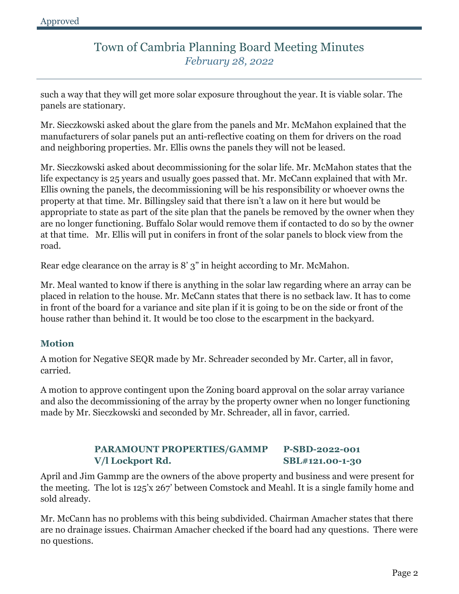such a way that they will get more solar exposure throughout the year. It is viable solar. The panels are stationary.

Mr. Sieczkowski asked about the glare from the panels and Mr. McMahon explained that the manufacturers of solar panels put an anti-reflective coating on them for drivers on the road and neighboring properties. Mr. Ellis owns the panels they will not be leased.

Mr. Sieczkowski asked about decommissioning for the solar life. Mr. McMahon states that the life expectancy is 25 years and usually goes passed that. Mr. McCann explained that with Mr. Ellis owning the panels, the decommissioning will be his responsibility or whoever owns the property at that time. Mr. Billingsley said that there isn't a law on it here but would be appropriate to state as part of the site plan that the panels be removed by the owner when they are no longer functioning. Buffalo Solar would remove them if contacted to do so by the owner at that time. Mr. Ellis will put in conifers in front of the solar panels to block view from the road.

Rear edge clearance on the array is 8' 3" in height according to Mr. McMahon.

Mr. Meal wanted to know if there is anything in the solar law regarding where an array can be placed in relation to the house. Mr. McCann states that there is no setback law. It has to come in front of the board for a variance and site plan if it is going to be on the side or front of the house rather than behind it. It would be too close to the escarpment in the backyard.

# **Motion**

A motion for Negative SEQR made by Mr. Schreader seconded by Mr. Carter, all in favor, carried.

A motion to approve contingent upon the Zoning board approval on the solar array variance and also the decommissioning of the array by the property owner when no longer functioning made by Mr. Sieczkowski and seconded by Mr. Schreader, all in favor, carried.

# **PARAMOUNT PROPERTIES/GAMMP P-SBD-2022-001 V/l Lockport Rd. SBL#121.00-1-30**

April and Jim Gammp are the owners of the above property and business and were present for the meeting. The lot is 125'x 267' between Comstock and Meahl. It is a single family home and sold already.

Mr. McCann has no problems with this being subdivided. Chairman Amacher states that there are no drainage issues. Chairman Amacher checked if the board had any questions. There were no questions.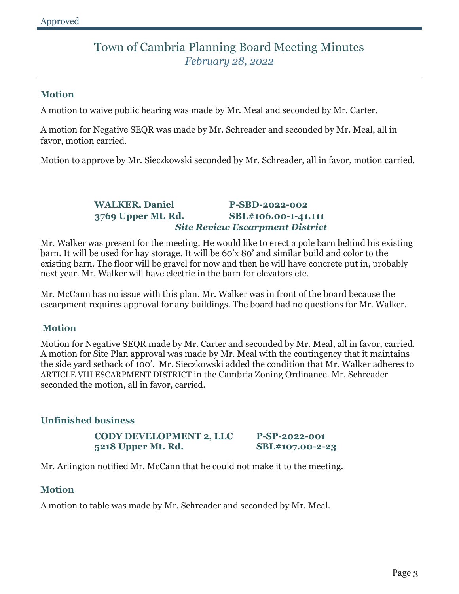## **Motion**

A motion to waive public hearing was made by Mr. Meal and seconded by Mr. Carter.

A motion for Negative SEQR was made by Mr. Schreader and seconded by Mr. Meal, all in favor, motion carried.

Motion to approve by Mr. Sieczkowski seconded by Mr. Schreader, all in favor, motion carried.

# **WALKER, Daniel P-SBD-2022-002 3769 Upper Mt. Rd. SBL#106.00-1-41.111** *Site Review Escarpment District*

Mr. Walker was present for the meeting. He would like to erect a pole barn behind his existing barn. It will be used for hay storage. It will be 60'x 80' and similar build and color to the existing barn. The floor will be gravel for now and then he will have concrete put in, probably next year. Mr. Walker will have electric in the barn for elevators etc.

Mr. McCann has no issue with this plan. Mr. Walker was in front of the board because the escarpment requires approval for any buildings. The board had no questions for Mr. Walker.

## **Motion**

Motion for Negative SEQR made by Mr. Carter and seconded by Mr. Meal, all in favor, carried. A motion for Site Plan approval was made by Mr. Meal with the contingency that it maintains the side yard setback of 100'. Mr. Sieczkowski added the condition that Mr. Walker adheres to ARTICLE VIII ESCARPMENT DISTRICT in the Cambria Zoning Ordinance. Mr. Schreader seconded the motion, all in favor, carried.

## **Unfinished business**

**CODY DEVELOPMENT 2, LLC P-SP-2022-001 5218 Upper Mt. Rd. SBL#107.00-2-23**

Mr. Arlington notified Mr. McCann that he could not make it to the meeting.

## **Motion**

A motion to table was made by Mr. Schreader and seconded by Mr. Meal.